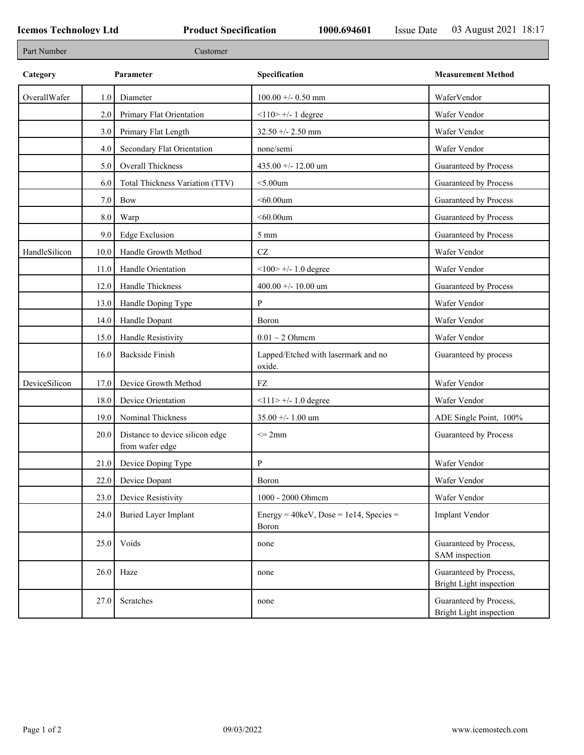| Part Number   |         | Customer                                           |                                                            |                                                   |
|---------------|---------|----------------------------------------------------|------------------------------------------------------------|---------------------------------------------------|
| Category      |         | Parameter                                          | Specification                                              | <b>Measurement Method</b>                         |
| OverallWafer  | 1.0     | Diameter                                           | $100.00 + - 0.50$ mm                                       | WaferVendor                                       |
|               | 2.0     | Primary Flat Orientation                           | $<$ 110> +/- 1 degree                                      | Wafer Vendor                                      |
|               | 3.0     | Primary Flat Length                                | $32.50 + - 2.50$ mm                                        | Wafer Vendor                                      |
|               | 4.0     | Secondary Flat Orientation                         | none/semi                                                  | Wafer Vendor                                      |
|               | 5.0     | <b>Overall Thickness</b>                           | 435.00 +/- 12.00 um                                        | Guaranteed by Process                             |
|               | 6.0     | Total Thickness Variation (TTV)                    | $<$ 5.00 $um$                                              | Guaranteed by Process                             |
|               | $7.0\,$ | Bow                                                | $<$ 60.00 $um$                                             | Guaranteed by Process                             |
|               | $8.0\,$ | Warp                                               | $<$ 60.00um                                                | Guaranteed by Process                             |
|               | 9.0     | <b>Edge Exclusion</b>                              | $5 \; \mathrm{mm}$                                         | Guaranteed by Process                             |
| HandleSilicon | 10.0    | Handle Growth Method                               | $\operatorname{CZ}$                                        | Wafer Vendor                                      |
|               | 11.0    | Handle Orientation                                 | $<100$ $> +/- 1.0$ degree                                  | Wafer Vendor                                      |
|               | 12.0    | Handle Thickness                                   | 400.00 +/- 10.00 um                                        | Guaranteed by Process                             |
|               | 13.0    | Handle Doping Type                                 | P                                                          | Wafer Vendor                                      |
|               | 14.0    | Handle Dopant                                      | Boron                                                      | Wafer Vendor                                      |
|               | 15.0    | Handle Resistivity                                 | $0.01 \sim 2$ Ohmem                                        | Wafer Vendor                                      |
|               | 16.0    | <b>Backside Finish</b>                             | Lapped/Etched with lasermark and no<br>oxide.              | Guaranteed by process                             |
| DeviceSilicon | 17.0    | Device Growth Method                               | FZ                                                         | Wafer Vendor                                      |
|               | 18.0    | Device Orientation                                 | $<$ 112 +/- 1.0 degree                                     | Wafer Vendor                                      |
|               | 19.0    | Nominal Thickness                                  | $35.00 + - 1.00$ um                                        | ADE Single Point, 100%                            |
|               | 20.0    | Distance to device silicon edge<br>from wafer edge | $\leq$ 2mm                                                 | Guaranteed by Process                             |
|               | 21.0    | Device Doping Type                                 | P                                                          | Wafer Vendor                                      |
|               | 22.0    | Device Dopant                                      | Boron                                                      | Wafer Vendor                                      |
|               | 23.0    | Device Resistivity                                 | 1000 - 2000 Ohmem                                          | Wafer Vendor                                      |
|               | 24.0    | <b>Buried Layer Implant</b>                        | Energy = $40 \text{keV}$ , Dose = 1e14, Species =<br>Boron | Implant Vendor                                    |
|               | 25.0    | Voids                                              | none                                                       | Guaranteed by Process,<br>SAM inspection          |
|               | 26.0    | Haze                                               | none                                                       | Guaranteed by Process,<br>Bright Light inspection |
|               | 27.0    | Scratches                                          | none                                                       | Guaranteed by Process,<br>Bright Light inspection |